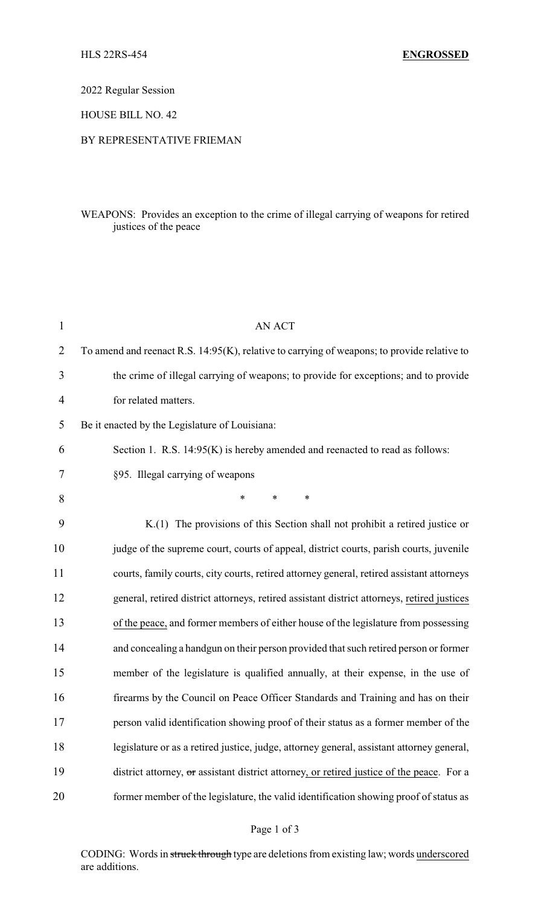2022 Regular Session

HOUSE BILL NO. 42

## BY REPRESENTATIVE FRIEMAN

## WEAPONS: Provides an exception to the crime of illegal carrying of weapons for retired justices of the peace

| $\mathbf{1}$ | <b>AN ACT</b>                                                                               |
|--------------|---------------------------------------------------------------------------------------------|
| 2            | To amend and reenact R.S. 14:95(K), relative to carrying of weapons; to provide relative to |
| 3            | the crime of illegal carrying of weapons; to provide for exceptions; and to provide         |
| 4            | for related matters.                                                                        |
| 5            | Be it enacted by the Legislature of Louisiana:                                              |
| 6            | Section 1. R.S. 14:95(K) is hereby amended and reenacted to read as follows:                |
| 7            | §95. Illegal carrying of weapons                                                            |
| 8            | $\ast$<br>$\ast$<br>*                                                                       |
| 9            | K.(1) The provisions of this Section shall not prohibit a retired justice or                |
| 10           | judge of the supreme court, courts of appeal, district courts, parish courts, juvenile      |
| 11           | courts, family courts, city courts, retired attorney general, retired assistant attorneys   |
| 12           | general, retired district attorneys, retired assistant district attorneys, retired justices |
| 13           | of the peace, and former members of either house of the legislature from possessing         |
| 14           | and concealing a handgun on their person provided that such retired person or former        |
| 15           | member of the legislature is qualified annually, at their expense, in the use of            |
| 16           | firearms by the Council on Peace Officer Standards and Training and has on their            |
| 17           | person valid identification showing proof of their status as a former member of the         |
| 18           | legislature or as a retired justice, judge, attorney general, assistant attorney general,   |
| 19           | district attorney, or assistant district attorney, or retired justice of the peace. For a   |
| 20           | former member of the legislature, the valid identification showing proof of status as       |

CODING: Words in struck through type are deletions from existing law; words underscored are additions.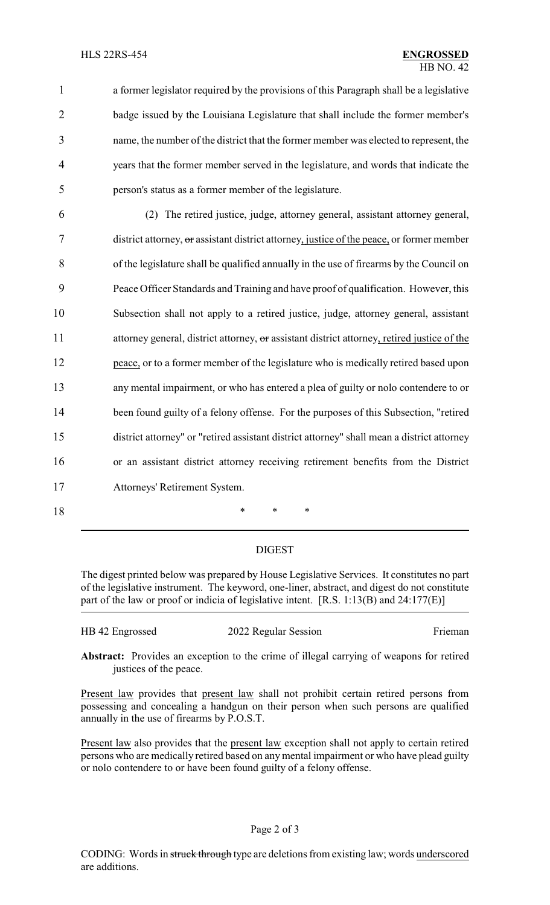a former legislator required by the provisions of this Paragraph shall be a legislative badge issued by the Louisiana Legislature that shall include the former member's name, the number of the district that the former member was elected to represent, the years that the former member served in the legislature, and words that indicate the person's status as a former member of the legislature.

 (2) The retired justice, judge, attorney general, assistant attorney general, district attorney, or assistant district attorney, justice of the peace, or former member of the legislature shall be qualified annually in the use of firearms by the Council on Peace Officer Standards and Training and have proof of qualification. However, this Subsection shall not apply to a retired justice, judge, attorney general, assistant 11 attorney general, district attorney, or assistant district attorney, retired justice of the peace, or to a former member of the legislature who is medically retired based upon any mental impairment, or who has entered a plea of guilty or nolo contendere to or 14 been found guilty of a felony offense. For the purposes of this Subsection, "retired district attorney" or "retired assistant district attorney" shall mean a district attorney or an assistant district attorney receiving retirement benefits from the District Attorneys' Retirement System.

18 \* \* \*

DIGEST

The digest printed below was prepared by House Legislative Services. It constitutes no part of the legislative instrument. The keyword, one-liner, abstract, and digest do not constitute part of the law or proof or indicia of legislative intent. [R.S. 1:13(B) and 24:177(E)]

HB 42 Engrossed 2022 Regular Session Frieman

**Abstract:** Provides an exception to the crime of illegal carrying of weapons for retired justices of the peace.

Present law provides that present law shall not prohibit certain retired persons from possessing and concealing a handgun on their person when such persons are qualified annually in the use of firearms by P.O.S.T.

Present law also provides that the present law exception shall not apply to certain retired persons who are medically retired based on any mental impairment or who have plead guilty or nolo contendere to or have been found guilty of a felony offense.